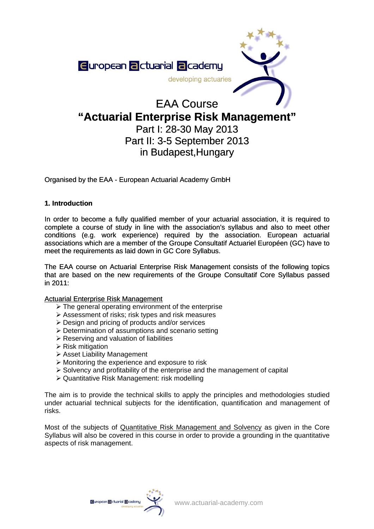

# EAA Course **"Actuarial Enterprise Risk Management"**  Part I: 28-30 May 2013

# Part II: 3-5 September 2013 in Budapest,Hungary

Organised by the EAA - European Actuarial Academy GmbH

# **1. Introduction**

In order to become a fully qualified member of your actuarial association, it is required to complete a course of study in line with the association's syllabus and also to meet other conditions (e.g. work experience) required by the association. European actuarial associations which are a member of the [Groupe Consultatif Actuariel Européen](http://www.gcactuaries.org/) (GC) have to meet the requirements as laid down in GC Core Syllabus.

The EAA course on Actuarial Enterprise Risk Management consists of the following topics that are based on the new requirements of the Groupe Consultatif Core Syllabus passed in 2011:

## Actuarial Enterprise Risk Management

- $\triangleright$  The general operating environment of the enterprise
- ¾ Assessment of risks; risk types and risk measures
- $\triangleright$  Design and pricing of products and/or services
- ¾ Determination of assumptions and scenario setting
- $\triangleright$  Reserving and valuation of liabilities
- $\triangleright$  Risk mitigation
- ¾ Asset Liability Management
- $\triangleright$  Monitoring the experience and exposure to risk
- $\triangleright$  Solvency and profitability of the enterprise and the management of capital
- ¾ Quantitative Risk Management: risk modelling

The aim is to provide the technical skills to apply the principles and methodologies studied under actuarial technical subjects for the identification, quantification and management of risks.

Most of the subjects of Quantitative Risk Management and Solvency as given in the Core Syllabus will also be covered in this course in order to provide a grounding in the quantitative aspects of risk management.

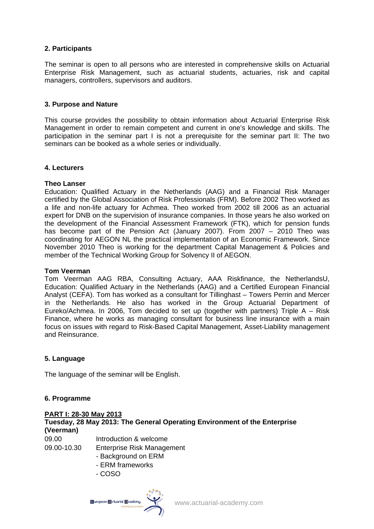## **2. Participants**

The seminar is open to all persons who are interested in comprehensive skills on Actuarial Enterprise Risk Management, such as actuarial students, actuaries, risk and capital managers, controllers, supervisors and auditors.

## **3. Purpose and Nature**

This course provides the possibility to obtain information about Actuarial Enterprise Risk Management in order to remain competent and current in one's knowledge and skills. The participation in the seminar part I is not a prerequisite for the seminar part II: The two seminars can be booked as a whole series or individually.

#### **4. Lecturers**

#### **Theo Lanser**

Education: Qualified Actuary in the Netherlands (AAG) and a Financial Risk Manager certified by the Global Association of Risk Professionals (FRM). Before 2002 Theo worked as a life and non-life actuary for Achmea. Theo worked from 2002 till 2006 as an actuarial expert for DNB on the supervision of insurance companies. In those years he also worked on the development of the Financial Assessment Framework (FTK), which for pension funds has become part of the Pension Act (January 2007). From 2007 – 2010 Theo was coordinating for AEGON NL the practical implementation of an Economic Framework. Since November 2010 Theo is working for the department Capital Management & Policies and member of the Technical Working Group for Solvency II of AEGON.

#### **Tom Veerman**

Tom Veerman AAG RBA, Consulting Actuary, AAA Riskfinance, the NetherlandsU, Education: Qualified Actuary in the Netherlands (AAG) and a Certified European Financial Analyst (CEFA). Tom has worked as a consultant for Tillinghast – Towers Perrin and Mercer in the Netherlands. He also has worked in the Group Actuarial Department of Eureko/Achmea. In 2006, Tom decided to set up (together with partners) Triple A – Risk Finance, where he works as managing consultant for business line insurance with a main focus on issues with regard to Risk-Based Capital Management, Asset-Liability management and Reinsurance.

## **5. Language**

The language of the seminar will be English.

## **6. Programme**

#### **PART I: 28-30 May 2013 Tuesday, 28 May 2013: The General Operating Environment of the Enterprise (Veerman)** 09.00 Introduction & welcome 09.00-10.30 Enterprise Risk Management

- - Background on ERM
	- ERM frameworks
	- COSO

Guropean Elctuarial Elcademy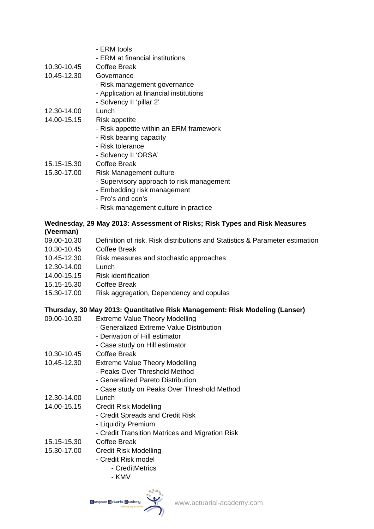- ERM tools
- ERM at financial institutions
- 10.30-10.45 Coffee Break
- 10.45-12.30 Governance
	- Risk management governance
		- Application at financial institutions
		- Solvency II 'pillar 2'
- 12.30-14.00 Lunch
- 14.00-15.15 Risk appetite
	- Risk appetite within an ERM framework
	- Risk bearing capacity
	- Risk tolerance
	- Solvency II 'ORSA'
- 15.15-15.30 Coffee Break
- 15.30-17.00 Risk Management culture
	- Supervisory approach to risk management
	- Embedding risk management
	- Pro's and con's
	- Risk management culture in practice

#### **Wednesday, 29 May 2013: Assessment of Risks; Risk Types and Risk Measures (Veerman)**

- 09.00-10.30 Definition of risk, Risk distributions and Statistics & Parameter estimation
- 10.30-10.45 Coffee Break
- 10.45-12.30 Risk measures and stochastic approaches
- 12.30-14.00 Lunch
- 14.00-15.15 Risk identification
- 15.15-15.30 Coffee Break
- 15.30-17.00 Risk aggregation, Dependency and copulas

## **Thursday, 30 May 2013: Quantitative Risk Management: Risk Modeling (Lanser)**

- 09.00-10.30 Extreme Value Theory Modelling - Generalized Extreme Value Distribution - Derivation of Hill estimator - Case study on Hill estimator 10.30-10.45 Coffee Break 10.45-12.30 Extreme Value Theory Modelling - Peaks Over Threshold Method - Generalized Pareto Distribution - Case study on Peaks Over Threshold Method 12.30-14.00 Lunch 14.00-15.15 Credit Risk Modelling - Credit Spreads and Credit Risk - Liquidity Premium - Credit Transition Matrices and Migration Risk 15.15-15.30 Coffee Break 15.30-17.00 Credit Risk Modelling
	- Credit Risk model
		- CreditMetrics
		- KMV

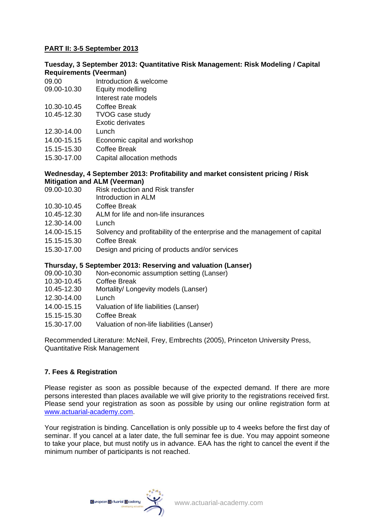# **PART II: 3-5 September 2013**

# **Tuesday, 3 September 2013: Quantitative Risk Management: Risk Modeling / Capital Requirements (Veerman)**

- 09.00 Introduction & welcome
- 09.00-10.30 Equity modelling
- Interest rate models
- 10.30-10.45 Coffee Break
- 10.45-12.30 TVOG case study Exotic derivates
- 
- 12.30-14.00 Lunch
- 14.00-15.15 Economic capital and workshop
- 15.15-15.30 Coffee Break
- 15.30-17.00 Capital allocation methods

#### **Wednesday, 4 September 2013: Profitability and market consistent pricing / Risk Mitigation and ALM (Veerman)**

- 09.00-10.30 Risk reduction and Risk transfer
	- Introduction in ALM
- 10.30-10.45 Coffee Break
- 10.45-12.30 ALM for life and non-life insurances
- 12.30-14.00 Lunch
- 14.00-15.15 Solvency and profitability of the enterprise and the management of capital
- 15.15-15.30 Coffee Break
- 15.30-17.00 Design and pricing of products and/or services

# **Thursday, 5 September 2013: Reserving and valuation (Lanser)**

- 09.00-10.30 Non-economic assumption setting (Lanser)
- 10.30-10.45 Coffee Break
- 10.45-12.30 Mortality/ Longevity models (Lanser)
- 12.30-14.00 Lunch
- 14.00-15.15 Valuation of life liabilities (Lanser)
- 15.15-15.30 Coffee Break
- 15.30-17.00 Valuation of non-life liabilities (Lanser)

Recommended Literature: McNeil, Frey, Embrechts (2005), Princeton University Press, Quantitative Risk Management

# **7. Fees & Registration**

Please register as soon as possible because of the expected demand. If there are more persons interested than places available we will give priority to the registrations received first. Please send your registration as soon as possible by using our online registration form at [www.actuarial-academy.com](http://www.actuarial-academy.com/).

Your registration is binding. Cancellation is only possible up to 4 weeks before the first day of seminar. If you cancel at a later date, the full seminar fee is due. You may appoint someone to take your place, but must notify us in advance. EAA has the right to cancel the event if the minimum number of participants is not reached.